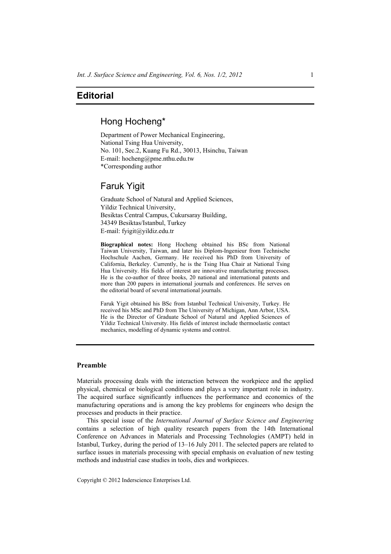# **Editorial**

### Hong Hocheng\*

Department of Power Mechanical Engineering, National Tsing Hua University, No. 101, Sec.2, Kuang Fu Rd., 30013, Hsinchu, Taiwan E-mail: hocheng@pme.nthu.edu.tw \*Corresponding author

# Faruk Yigit

Graduate School of Natural and Applied Sciences, Yildiz Technical University, Besiktas Central Campus, Cukursaray Building, 34349 Besiktas/Istanbul, Turkey E-mail: fyigit@yildiz.edu.tr

**Biographical notes:** Hong Hocheng obtained his BSc from National Taiwan University, Taiwan, and later his Diplom-Ingenieur from Technische Hochschule Aachen, Germany. He received his PhD from University of California, Berkeley. Currently, he is the Tsing Hua Chair at National Tsing Hua University. His fields of interest are innovative manufacturing processes. He is the co-author of three books, 20 national and international patents and more than 200 papers in international journals and conferences. He serves on the editorial board of several international journals.

Faruk Yigit obtained his BSc from Istanbul Technical University, Turkey. He received his MSc and PhD from The University of Michigan, Ann Arbor, USA. He is the Director of Graduate School of Natural and Applied Sciences of Yildiz Technical University. His fields of interest include thermoelastic contact mechanics, modelling of dynamic systems and control.

#### **Preamble**

Materials processing deals with the interaction between the workpiece and the applied physical, chemical or biological conditions and plays a very important role in industry. The acquired surface significantly influences the performance and economics of the manufacturing operations and is among the key problems for engineers who design the processes and products in their practice.

This special issue of the *International Journal of Surface Science and Engineering* contains a selection of high quality research papers from the 14th International Conference on Advances in Materials and Processing Technologies (AMPT) held in Istanbul, Turkey, during the period of 13–16 July 2011. The selected papers are related to surface issues in materials processing with special emphasis on evaluation of new testing methods and industrial case studies in tools, dies and workpieces.

Copyright © 2012 Inderscience Enterprises Ltd.